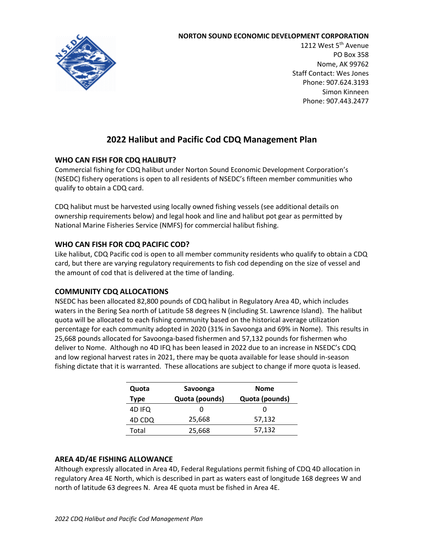#### **NORTON SOUND ECONOMIC DEVELOPMENT CORPORATION**



1212 West 5<sup>th</sup> Avenue PO Box 358 Nome, AK 99762 Staff Contact: Wes Jones Phone: 907.624.3193 Simon Kinneen Phone: 907.443.2477

# **2022 Halibut and Pacific Cod CDQ Management Plan**

# **WHO CAN FISH FOR CDQ HALIBUT?**

Commercial fishing for CDQ halibut under Norton Sound Economic Development Corporation's (NSEDC) fishery operations is open to all residents of NSEDC's fifteen member communities who qualify to obtain a CDQ card.

CDQ halibut must be harvested using locally owned fishing vessels (see additional details on ownership requirements below) and legal hook and line and halibut pot gear as permitted by National Marine Fisheries Service (NMFS) for commercial halibut fishing.

# **WHO CAN FISH FOR CDQ PACIFIC COD?**

Like halibut, CDQ Pacific cod is open to all member community residents who qualify to obtain a CDQ card, but there are varying regulatory requirements to fish cod depending on the size of vessel and the amount of cod that is delivered at the time of landing.

# **COMMUNITY CDQ ALLOCATIONS**

NSEDC has been allocated 82,800 pounds of CDQ halibut in Regulatory Area 4D, which includes waters in the Bering Sea north of Latitude 58 degrees N (including St. Lawrence Island). The halibut quota will be allocated to each fishing community based on the historical average utilization percentage for each community adopted in 2020 (31% in Savoonga and 69% in Nome). This results in 25,668 pounds allocated for Savoonga-based fishermen and 57,132 pounds for fishermen who deliver to Nome. Although no 4D IFQ has been leased in 2022 due to an increase in NSEDC's CDQ and low regional harvest rates in 2021, there may be quota available for lease should in-season fishing dictate that it is warranted. These allocations are subject to change if more quota is leased.

| Quota       | Savoonga       | <b>Nome</b>    |
|-------------|----------------|----------------|
| <b>Type</b> | Quota (pounds) | Quota (pounds) |
| 4D IFQ      |                |                |
| 4D CDQ      | 25,668         | 57,132         |
| Total       | 25,668         | 57,132         |

# **AREA 4D/4E FISHING ALLOWANCE**

Although expressly allocated in Area 4D, Federal Regulations permit fishing of CDQ 4D allocation in regulatory Area 4E North, which is described in part as waters east of longitude 168 degrees W and north of latitude 63 degrees N. Area 4E quota must be fished in Area 4E.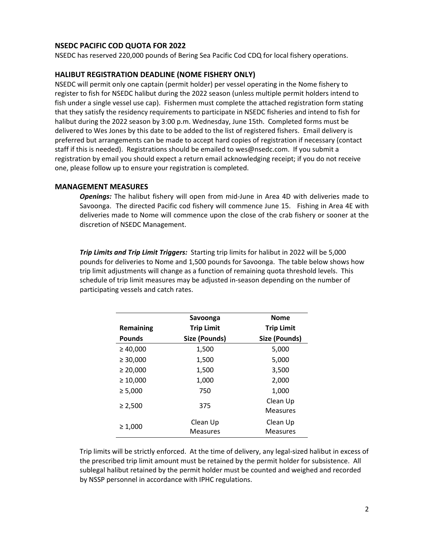# **NSEDC PACIFIC COD QUOTA FOR 2022**

NSEDC has reserved 220,000 pounds of Bering Sea Pacific Cod CDQ for local fishery operations.

## **HALIBUT REGISTRATION DEADLINE (NOME FISHERY ONLY)**

NSEDC will permit only one captain (permit holder) per vessel operating in the Nome fishery to register to fish for NSEDC halibut during the 2022 season (unless multiple permit holders intend to fish under a single vessel use cap). Fishermen must complete the attached registration form stating that they satisfy the residency requirements to participate in NSEDC fisheries and intend to fish for halibut during the 2022 season by 3:00 p.m. Wednesday, June 15th. Completed forms must be delivered to Wes Jones by this date to be added to the list of registered fishers. Email delivery is preferred but arrangements can be made to accept hard copies of registration if necessary (contact staff if this is needed). Registrations should be emailed to wes@nsedc.com. If you submit a registration by email you should expect a return email acknowledging receipt; if you do not receive one, please follow up to ensure your registration is completed.

#### **MANAGEMENT MEASURES**

*Openings:* The halibut fishery will open from mid-June in Area 4D with deliveries made to Savoonga. The directed Pacific cod fishery will commence June 15. Fishing in Area 4E with deliveries made to Nome will commence upon the close of the crab fishery or sooner at the discretion of NSEDC Management.

*Trip Limits and Trip Limit Triggers:*Starting trip limits for halibut in 2022 will be 5,000 pounds for deliveries to Nome and 1,500 pounds for Savoonga. The table below shows how trip limit adjustments will change as a function of remaining quota threshold levels. This schedule of trip limit measures may be adjusted in-season depending on the number of participating vessels and catch rates.

|                  | Savoonga                    | <b>Nome</b>                 |
|------------------|-----------------------------|-----------------------------|
| <b>Remaining</b> | <b>Trip Limit</b>           | <b>Trip Limit</b>           |
| <b>Pounds</b>    | Size (Pounds)               | Size (Pounds)               |
| $\geq 40,000$    | 1,500                       | 5,000                       |
| $\geq 30,000$    | 1,500                       | 5,000                       |
| $\geq 20,000$    | 1,500                       | 3,500                       |
| $\geq 10,000$    | 1,000                       | 2,000                       |
| $\geq 5,000$     | 750                         | 1,000                       |
| $\geq 2,500$     | 375                         | Clean Up<br><b>Measures</b> |
| $\geq 1,000$     | Clean Up<br><b>Measures</b> | Clean Up<br><b>Measures</b> |

Trip limits will be strictly enforced. At the time of delivery, any legal-sized halibut in excess of the prescribed trip limit amount must be retained by the permit holder for subsistence. All sublegal halibut retained by the permit holder must be counted and weighed and recorded by NSSP personnel in accordance with IPHC regulations.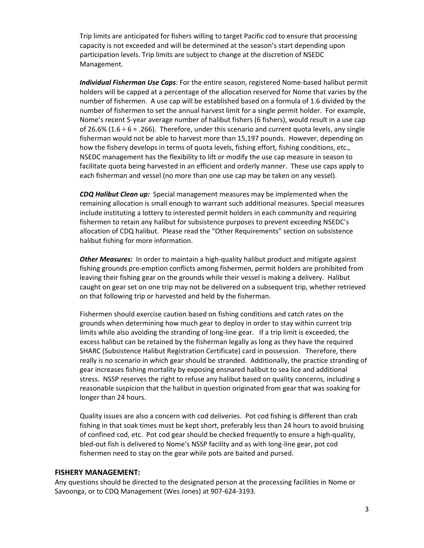Trip limits are anticipated for fishers willing to target Pacific cod to ensure that processing capacity is not exceeded and will be determined at the season's start depending upon participation levels. Trip limits are subject to change at the discretion of NSEDC Management.

*Individual Fisherman Use Caps:* For the entire season, registered Nome-based halibut permit holders will be capped at a percentage of the allocation reserved for Nome that varies by the number of fishermen. A use cap will be established based on a formula of 1.6 divided by the number of fishermen to set the annual harvest limit for a single permit holder. For example, Nome's recent 5-year average number of halibut fishers (6 fishers), would result in a use cap of 26.6% (1.6  $\div$  6 = .266). Therefore, under this scenario and current quota levels, any single fisherman would not be able to harvest more than 15,197 pounds. However, depending on how the fishery develops in terms of quota levels, fishing effort, fishing conditions, etc., NSEDC management has the flexibility to lift or modify the use cap measure in season to facilitate quota being harvested in an efficient and orderly manner. These use caps apply to each fisherman and vessel (no more than one use cap may be taken on any vessel).

*CDQ Halibut Clean up:* Special management measures may be implemented when the remaining allocation is small enough to warrant such additional measures. Special measures include instituting a lottery to interested permit holders in each community and requiring fishermen to retain any halibut for subsistence purposes to prevent exceeding NSEDC's allocation of CDQ halibut. Please read the "Other Requirements" section on subsistence halibut fishing for more information.

*Other Measures:* In order to maintain a high-quality halibut product and mitigate against fishing grounds pre-emption conflicts among fishermen, permit holders are prohibited from leaving their fishing gear on the grounds while their vessel is making a delivery. Halibut caught on gear set on one trip may not be delivered on a subsequent trip, whether retrieved on that following trip or harvested and held by the fisherman.

Fishermen should exercise caution based on fishing conditions and catch rates on the grounds when determining how much gear to deploy in order to stay within current trip limits while also avoiding the stranding of long-line gear. If a trip limit is exceeded, the excess halibut can be retained by the fisherman legally as long as they have the required SHARC (Subsistence Halibut Registration Certificate) card in possession. Therefore, there really is no scenario in which gear should be stranded. Additionally, the practice stranding of gear increases fishing mortality by exposing ensnared halibut to sea lice and additional stress. NSSP reserves the right to refuse any halibut based on quality concerns, including a reasonable suspicion that the halibut in question originated from gear that was soaking for longer than 24 hours.

Quality issues are also a concern with cod deliveries. Pot cod fishing is different than crab fishing in that soak times must be kept short, preferably less than 24 hours to avoid bruising of confined cod, etc. Pot cod gear should be checked frequently to ensure a high-quality, bled-out fish is delivered to Nome's NSSP facility and as with long-line gear, pot cod fishermen need to stay on the gear while pots are baited and pursed.

## **FISHERY MANAGEMENT:**

Any questions should be directed to the designated person at the processing facilities in Nome or Savoonga, or to CDQ Management (Wes Jones) at 907-624-3193.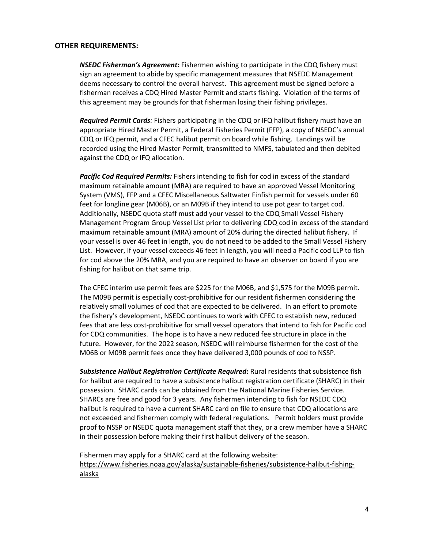## **OTHER REQUIREMENTS:**

*NSEDC Fisherman's Agreement:* Fishermen wishing to participate in the CDQ fishery must sign an agreement to abide by specific management measures that NSEDC Management deems necessary to control the overall harvest. This agreement must be signed before a fisherman receives a CDQ Hired Master Permit and starts fishing. Violation of the terms of this agreement may be grounds for that fisherman losing their fishing privileges.

*Required Permit Cards:* Fishers participating in the CDQ or IFQ halibut fishery must have an appropriate Hired Master Permit, a Federal Fisheries Permit (FFP), a copy of NSEDC's annual CDQ or IFQ permit, and a CFEC halibut permit on board while fishing. Landings will be recorded using the Hired Master Permit, transmitted to NMFS, tabulated and then debited against the CDQ or IFQ allocation.

*Pacific Cod Required Permits:* Fishers intending to fish for cod in excess of the standard maximum retainable amount (MRA) are required to have an approved Vessel Monitoring System (VMS), FFP and a CFEC Miscellaneous Saltwater Finfish permit for vessels under 60 feet for longline gear (M06B), or an M09B if they intend to use pot gear to target cod. Additionally, NSEDC quota staff must add your vessel to the CDQ Small Vessel Fishery Management Program Group Vessel List prior to delivering CDQ cod in excess of the standard maximum retainable amount (MRA) amount of 20% during the directed halibut fishery. If your vessel is over 46 feet in length, you do not need to be added to the Small Vessel Fishery List. However, if your vessel exceeds 46 feet in length, you will need a Pacific cod LLP to fish for cod above the 20% MRA, and you are required to have an observer on board if you are fishing for halibut on that same trip.

The CFEC interim use permit fees are \$225 for the M06B, and \$1,575 for the M09B permit. The M09B permit is especially cost-prohibitive for our resident fishermen considering the relatively small volumes of cod that are expected to be delivered. In an effort to promote the fishery's development, NSEDC continues to work with CFEC to establish new, reduced fees that are less cost-prohibitive for small vessel operators that intend to fish for Pacific cod for CDQ communities. The hope is to have a new reduced fee structure in place in the future. However, for the 2022 season, NSEDC will reimburse fishermen for the cost of the M06B or M09B permit fees once they have delivered 3,000 pounds of cod to NSSP.

*Subsistence Halibut Registration Certificate Required***:** Rural residents that subsistence fish for halibut are required to have a subsistence halibut registration certificate (SHARC) in their possession. SHARC cards can be obtained from the National Marine Fisheries Service. SHARCs are free and good for 3 years. Any fishermen intending to fish for NSEDC CDQ halibut is required to have a current SHARC card on file to ensure that CDQ allocations are not exceeded and fishermen comply with federal regulations. Permit holders must provide proof to NSSP or NSEDC quota management staff that they, or a crew member have a SHARC in their possession before making their first halibut delivery of the season.

Fishermen may apply for a SHARC card at the following website: [https://www.fisheries.noaa.gov/alaska/sustainable-fisheries/subsistence-halibut-fishing](https://www.fisheries.noaa.gov/alaska/sustainable-fisheries/subsistence-halibut-fishing-alaska)[alaska](https://www.fisheries.noaa.gov/alaska/sustainable-fisheries/subsistence-halibut-fishing-alaska)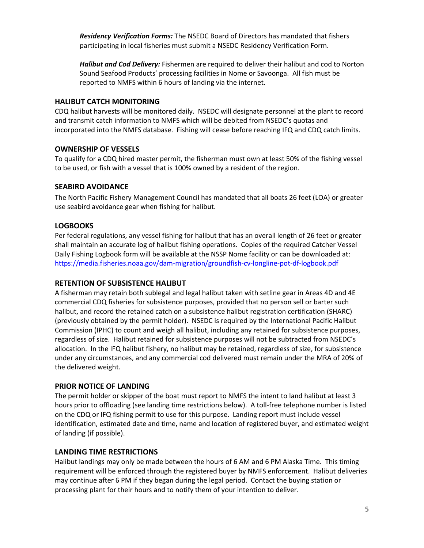*Residency Verification Forms:* The NSEDC Board of Directors has mandated that fishers participating in local fisheries must submit a NSEDC Residency Verification Form.

*Halibut and Cod Delivery:* Fishermen are required to deliver their halibut and cod to Norton Sound Seafood Products' processing facilities in Nome or Savoonga. All fish must be reported to NMFS within 6 hours of landing via the internet.

#### **HALIBUT CATCH MONITORING**

CDQ halibut harvests will be monitored daily. NSEDC will designate personnel at the plant to record and transmit catch information to NMFS which will be debited from NSEDC's quotas and incorporated into the NMFS database. Fishing will cease before reaching IFQ and CDQ catch limits.

## **OWNERSHIP OF VESSELS**

To qualify for a CDQ hired master permit, the fisherman must own at least 50% of the fishing vessel to be used, or fish with a vessel that is 100% owned by a resident of the region.

#### **SEABIRD AVOIDANCE**

The North Pacific Fishery Management Council has mandated that all boats 26 feet (LOA) or greater use seabird avoidance gear when fishing for halibut.

#### **LOGBOOKS**

Per federal regulations, any vessel fishing for halibut that has an overall length of 26 feet or greater shall maintain an accurate log of halibut fishing operations. Copies of the required Catcher Vessel Daily Fishing Logbook form will be available at the NSSP Nome facility or can be downloaded at: <https://media.fisheries.noaa.gov/dam-migration/groundfish-cv-longline-pot-df-logbook.pdf>

#### **RETENTION OF SUBSISTENCE HALIBUT**

A fisherman may retain both sublegal and legal halibut taken with setline gear in Areas 4D and 4E commercial CDQ fisheries for subsistence purposes, provided that no person sell or barter such halibut, and record the retained catch on a subsistence halibut registration certification (SHARC) (previously obtained by the permit holder). NSEDC is required by the International Pacific Halibut Commission (IPHC) to count and weigh all halibut, including any retained for subsistence purposes, regardless of size. Halibut retained for subsistence purposes will not be subtracted from NSEDC's allocation. In the IFQ halibut fishery, no halibut may be retained, regardless of size, for subsistence under any circumstances, and any commercial cod delivered must remain under the MRA of 20% of the delivered weight.

#### **PRIOR NOTICE OF LANDING**

The permit holder or skipper of the boat must report to NMFS the intent to land halibut at least 3 hours prior to offloading (see landing time restrictions below). A toll-free telephone number is listed on the CDQ or IFQ fishing permit to use for this purpose. Landing report must include vessel identification, estimated date and time, name and location of registered buyer, and estimated weight of landing (if possible).

#### **LANDING TIME RESTRICTIONS**

Halibut landings may only be made between the hours of 6 AM and 6 PM Alaska Time. This timing requirement will be enforced through the registered buyer by NMFS enforcement. Halibut deliveries may continue after 6 PM if they began during the legal period. Contact the buying station or processing plant for their hours and to notify them of your intention to deliver.